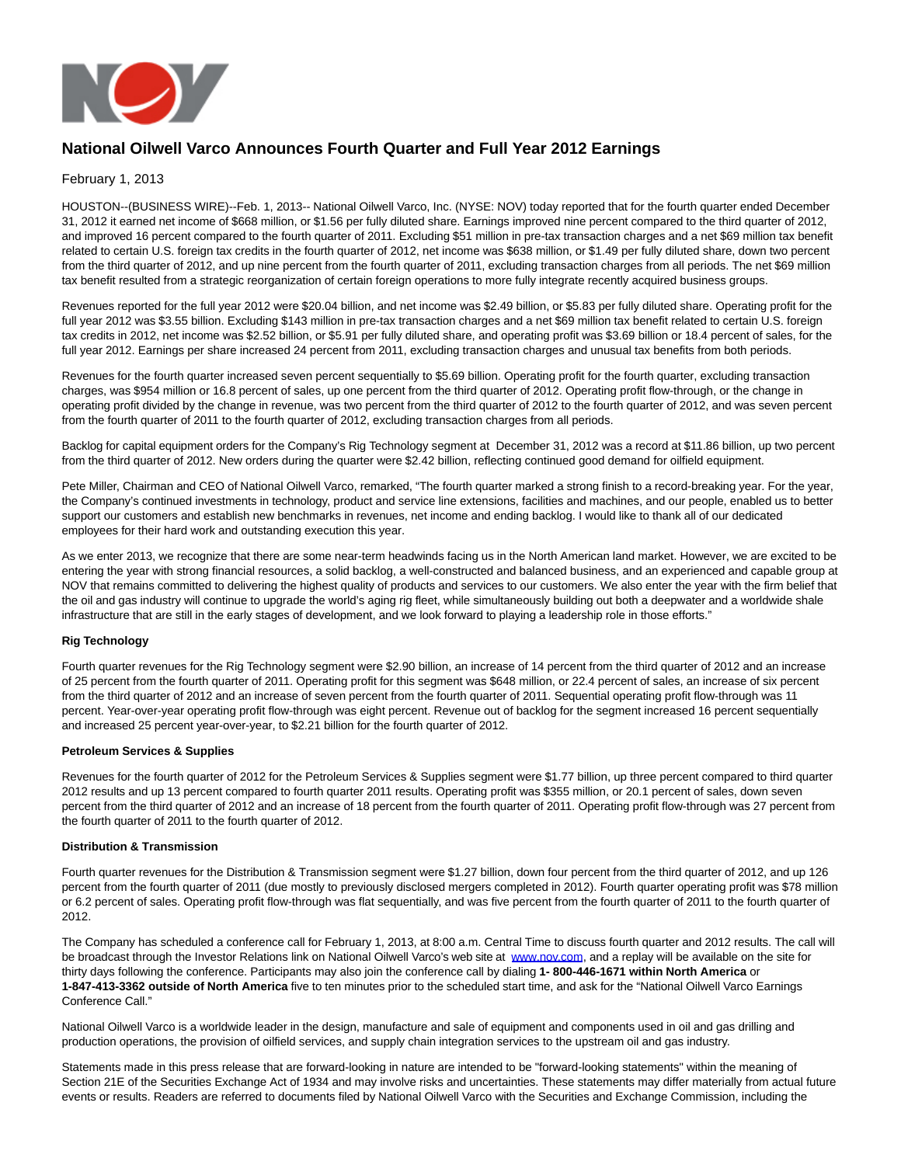

# **National Oilwell Varco Announces Fourth Quarter and Full Year 2012 Earnings**

#### February 1, 2013

HOUSTON--(BUSINESS WIRE)--Feb. 1, 2013-- National Oilwell Varco, Inc. (NYSE: NOV) today reported that for the fourth quarter ended December 31, 2012 it earned net income of \$668 million, or \$1.56 per fully diluted share. Earnings improved nine percent compared to the third quarter of 2012, and improved 16 percent compared to the fourth quarter of 2011. Excluding \$51 million in pre-tax transaction charges and a net \$69 million tax benefit related to certain U.S. foreign tax credits in the fourth quarter of 2012, net income was \$638 million, or \$1.49 per fully diluted share, down two percent from the third quarter of 2012, and up nine percent from the fourth quarter of 2011, excluding transaction charges from all periods. The net \$69 million tax benefit resulted from a strategic reorganization of certain foreign operations to more fully integrate recently acquired business groups.

Revenues reported for the full year 2012 were \$20.04 billion, and net income was \$2.49 billion, or \$5.83 per fully diluted share. Operating profit for the full year 2012 was \$3.55 billion. Excluding \$143 million in pre-tax transaction charges and a net \$69 million tax benefit related to certain U.S. foreign tax credits in 2012, net income was \$2.52 billion, or \$5.91 per fully diluted share, and operating profit was \$3.69 billion or 18.4 percent of sales, for the full year 2012. Earnings per share increased 24 percent from 2011, excluding transaction charges and unusual tax benefits from both periods.

Revenues for the fourth quarter increased seven percent sequentially to \$5.69 billion. Operating profit for the fourth quarter, excluding transaction charges, was \$954 million or 16.8 percent of sales, up one percent from the third quarter of 2012. Operating profit flow-through, or the change in operating profit divided by the change in revenue, was two percent from the third quarter of 2012 to the fourth quarter of 2012, and was seven percent from the fourth quarter of 2011 to the fourth quarter of 2012, excluding transaction charges from all periods.

Backlog for capital equipment orders for the Company's Rig Technology segment at December 31, 2012 was a record at \$11.86 billion, up two percent from the third quarter of 2012. New orders during the quarter were \$2.42 billion, reflecting continued good demand for oilfield equipment.

Pete Miller, Chairman and CEO of National Oilwell Varco, remarked, "The fourth quarter marked a strong finish to a record-breaking year. For the year, the Company's continued investments in technology, product and service line extensions, facilities and machines, and our people, enabled us to better support our customers and establish new benchmarks in revenues, net income and ending backlog. I would like to thank all of our dedicated employees for their hard work and outstanding execution this year.

As we enter 2013, we recognize that there are some near-term headwinds facing us in the North American land market. However, we are excited to be entering the year with strong financial resources, a solid backlog, a well-constructed and balanced business, and an experienced and capable group at NOV that remains committed to delivering the highest quality of products and services to our customers. We also enter the year with the firm belief that the oil and gas industry will continue to upgrade the world's aging rig fleet, while simultaneously building out both a deepwater and a worldwide shale infrastructure that are still in the early stages of development, and we look forward to playing a leadership role in those efforts."

#### **Rig Technology**

Fourth quarter revenues for the Rig Technology segment were \$2.90 billion, an increase of 14 percent from the third quarter of 2012 and an increase of 25 percent from the fourth quarter of 2011. Operating profit for this segment was \$648 million, or 22.4 percent of sales, an increase of six percent from the third quarter of 2012 and an increase of seven percent from the fourth quarter of 2011. Sequential operating profit flow-through was 11 percent. Year-over-year operating profit flow-through was eight percent. Revenue out of backlog for the segment increased 16 percent sequentially and increased 25 percent year-over-year, to \$2.21 billion for the fourth quarter of 2012.

#### **Petroleum Services & Supplies**

Revenues for the fourth quarter of 2012 for the Petroleum Services & Supplies segment were \$1.77 billion, up three percent compared to third quarter 2012 results and up 13 percent compared to fourth quarter 2011 results. Operating profit was \$355 million, or 20.1 percent of sales, down seven percent from the third quarter of 2012 and an increase of 18 percent from the fourth quarter of 2011. Operating profit flow-through was 27 percent from the fourth quarter of 2011 to the fourth quarter of 2012.

#### **Distribution & Transmission**

Fourth quarter revenues for the Distribution & Transmission segment were \$1.27 billion, down four percent from the third quarter of 2012, and up 126 percent from the fourth quarter of 2011 (due mostly to previously disclosed mergers completed in 2012). Fourth quarter operating profit was \$78 million or 6.2 percent of sales. Operating profit flow-through was flat sequentially, and was five percent from the fourth quarter of 2011 to the fourth quarter of 2012.

The Company has scheduled a conference call for February 1, 2013, at 8:00 a.m. Central Time to discuss fourth quarter and 2012 results. The call will be broadcast through the Investor Relations link on National Oilwell Varco's web site at [www.nov.com,](http://cts.businesswire.com/ct/CT?id=smartlink&url=http%3A%2F%2Fwww.nov.com&esheet=50549595&lan=en-US&anchor=www.nov.com&index=1&md5=fc0f4609b06fb59991db58bbfe44eaab) and a replay will be available on the site for thirty days following the conference. Participants may also join the conference call by dialing **1- 800-446-1671 within North America** or **1-847-413-3362 outside of North America** five to ten minutes prior to the scheduled start time, and ask for the "National Oilwell Varco Earnings Conference Call."

National Oilwell Varco is a worldwide leader in the design, manufacture and sale of equipment and components used in oil and gas drilling and production operations, the provision of oilfield services, and supply chain integration services to the upstream oil and gas industry.

Statements made in this press release that are forward-looking in nature are intended to be "forward-looking statements" within the meaning of Section 21E of the Securities Exchange Act of 1934 and may involve risks and uncertainties. These statements may differ materially from actual future events or results. Readers are referred to documents filed by National Oilwell Varco with the Securities and Exchange Commission, including the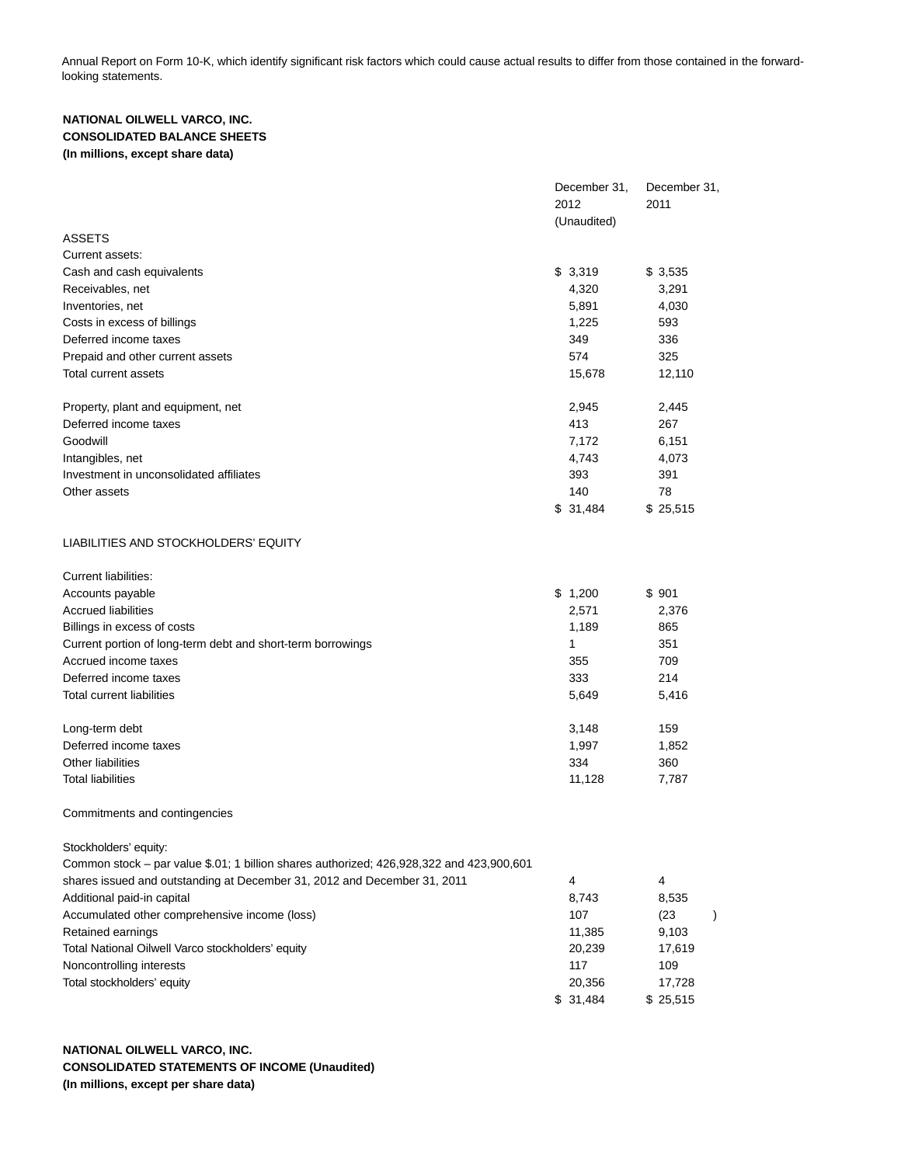Annual Report on Form 10-K, which identify significant risk factors which could cause actual results to differ from those contained in the forwardlooking statements.

## **NATIONAL OILWELL VARCO, INC. CONSOLIDATED BALANCE SHEETS (In millions, except share data)**

|                                                                                          | December 31,<br>2012<br>(Unaudited) | December 31,<br>2011 |               |
|------------------------------------------------------------------------------------------|-------------------------------------|----------------------|---------------|
| <b>ASSETS</b>                                                                            |                                     |                      |               |
| Current assets:                                                                          |                                     |                      |               |
| Cash and cash equivalents                                                                | \$3,319                             | \$3,535              |               |
| Receivables, net                                                                         | 4,320                               | 3,291                |               |
| Inventories, net                                                                         | 5,891                               | 4,030                |               |
| Costs in excess of billings                                                              | 1,225                               | 593                  |               |
| Deferred income taxes                                                                    | 349                                 | 336                  |               |
| Prepaid and other current assets                                                         | 574                                 | 325                  |               |
| Total current assets                                                                     | 15,678                              | 12,110               |               |
| Property, plant and equipment, net                                                       | 2,945                               | 2,445                |               |
| Deferred income taxes                                                                    | 413                                 | 267                  |               |
| Goodwill                                                                                 | 7,172                               | 6,151                |               |
| Intangibles, net                                                                         | 4,743                               | 4,073                |               |
| Investment in unconsolidated affiliates                                                  | 393                                 | 391                  |               |
| Other assets                                                                             | 140                                 | 78                   |               |
|                                                                                          | \$31,484                            | \$25,515             |               |
| LIABILITIES AND STOCKHOLDERS' EQUITY                                                     |                                     |                      |               |
| <b>Current liabilities:</b>                                                              |                                     |                      |               |
| Accounts payable                                                                         | \$1,200                             | \$901                |               |
| <b>Accrued liabilities</b>                                                               | 2,571                               | 2,376                |               |
| Billings in excess of costs                                                              | 1,189                               | 865                  |               |
| Current portion of long-term debt and short-term borrowings                              | 1                                   | 351                  |               |
| Accrued income taxes                                                                     | 355                                 | 709                  |               |
| Deferred income taxes                                                                    | 333                                 | 214                  |               |
| <b>Total current liabilities</b>                                                         | 5,649                               | 5,416                |               |
| Long-term debt                                                                           | 3,148                               | 159                  |               |
| Deferred income taxes                                                                    | 1,997                               | 1,852                |               |
| <b>Other liabilities</b>                                                                 | 334                                 | 360                  |               |
| <b>Total liabilities</b>                                                                 | 11,128                              | 7,787                |               |
| Commitments and contingencies                                                            |                                     |                      |               |
| Stockholders' equity:                                                                    |                                     |                      |               |
| Common stock – par value \$.01; 1 billion shares authorized; 426,928,322 and 423,900,601 |                                     |                      |               |
| shares issued and outstanding at December 31, 2012 and December 31, 2011                 | 4                                   | 4                    |               |
| Additional paid-in capital                                                               | 8,743                               | 8,535                |               |
| Accumulated other comprehensive income (loss)                                            | 107                                 | (23)                 | $\mathcal{C}$ |
| Retained earnings                                                                        | 11,385                              | 9,103                |               |
| Total National Oilwell Varco stockholders' equity                                        | 20,239                              | 17,619               |               |
| Noncontrolling interests                                                                 | 117                                 | 109                  |               |
| Total stockholders' equity                                                               | 20,356                              | 17,728               |               |
|                                                                                          | \$31,484                            | \$25,515             |               |

**NATIONAL OILWELL VARCO, INC. CONSOLIDATED STATEMENTS OF INCOME (Unaudited) (In millions, except per share data)**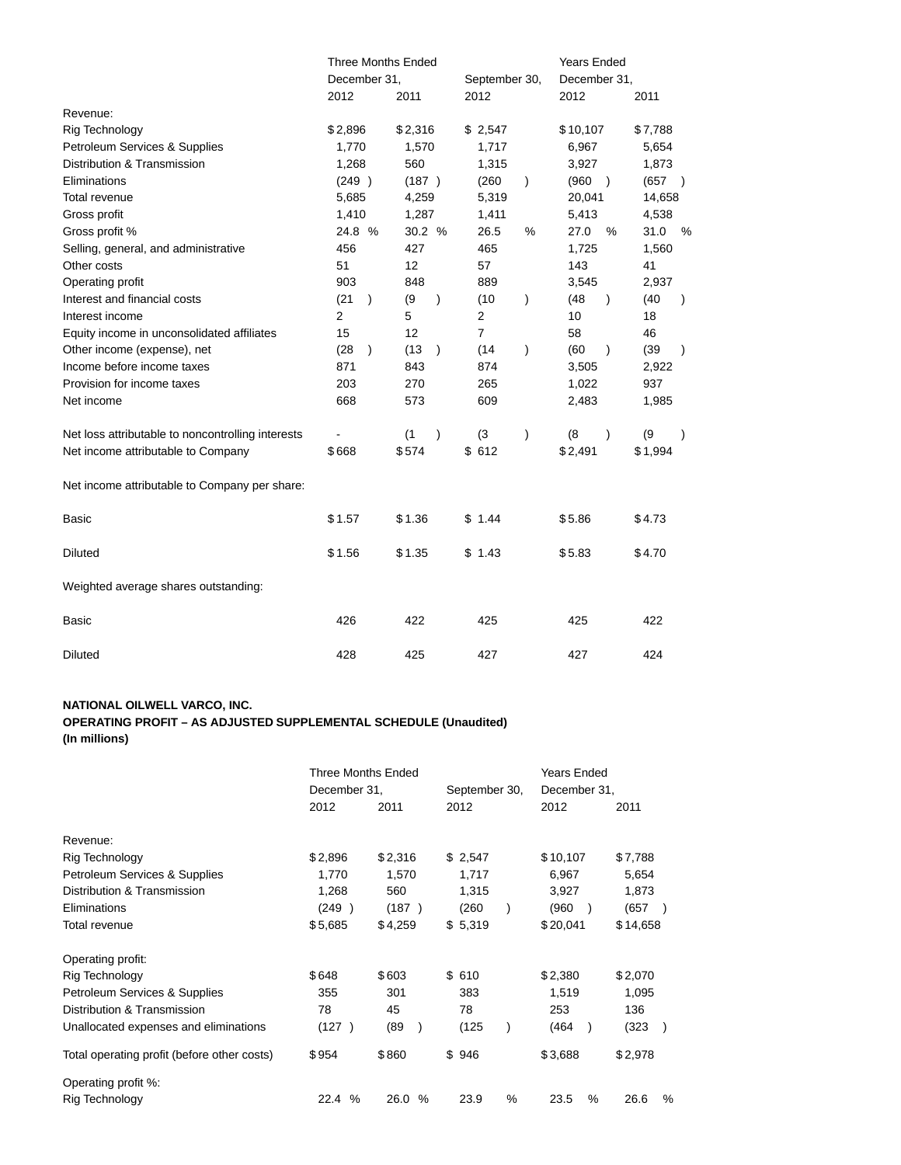|                                                   | <b>Three Months Ended</b> |           |         |           |                        |               | <b>Years Ended</b> |               |         |           |  |
|---------------------------------------------------|---------------------------|-----------|---------|-----------|------------------------|---------------|--------------------|---------------|---------|-----------|--|
|                                                   | December 31,              |           |         |           | September 30,          |               | December 31,       |               |         |           |  |
|                                                   | 2012                      |           | 2011    |           | 2012                   |               | 2012               |               | 2011    |           |  |
| Revenue:                                          |                           |           |         |           |                        |               |                    |               |         |           |  |
| Rig Technology                                    | \$2,896                   |           | \$2,316 |           | \$2,547                |               | \$10,107           |               | \$7,788 |           |  |
| Petroleum Services & Supplies                     | 1,770                     |           | 1,570   |           | 1,717                  |               | 6,967              |               | 5,654   |           |  |
| Distribution & Transmission                       | 1,268                     |           | 560     |           | 1,315                  |               | 3,927              |               | 1,873   |           |  |
| Eliminations                                      | (249)                     |           | (187)   |           | (260)<br>$\mathcal{E}$ |               | (960)              | $\rightarrow$ | (657)   |           |  |
| Total revenue                                     | 5,685                     |           | 4,259   |           |                        | 5,319         |                    | 20,041        |         | 14,658    |  |
| Gross profit                                      | 1,410                     |           | 1,287   |           | 1,411                  |               | 5,413              |               | 4,538   |           |  |
| Gross profit %                                    | 24.8 %                    |           | 30.2 %  |           | 26.5                   | %             | 27.0               | %             | 31.0    | %         |  |
| Selling, general, and administrative              | 456                       |           | 427     |           | 465                    |               | 1,725              |               | 1,560   |           |  |
| Other costs                                       | 51                        |           | 12      |           | 57                     |               | 143                |               | 41      |           |  |
| Operating profit                                  | 903                       |           | 848     |           | 889                    |               | 3,545              |               | 2,937   |           |  |
| Interest and financial costs                      | (21)                      | $\lambda$ | (9)     | $\lambda$ | (10)                   | $\mathcal{E}$ | (48)               | $\lambda$     | (40)    | $\lambda$ |  |
| Interest income                                   | $\overline{2}$            |           | 5       |           | 2                      |               | 10                 |               | 18      |           |  |
| Equity income in unconsolidated affiliates        | 15                        |           | 12      |           | $\overline{7}$         |               | 58                 |               | 46      |           |  |
| Other income (expense), net                       | (28)                      | $\lambda$ | (13)    | $\lambda$ | (14)                   | $\mathcal{E}$ | (60)               | $\lambda$     | (39)    | $\lambda$ |  |
| Income before income taxes                        | 871                       |           | 843     |           | 874                    |               | 3,505              |               | 2,922   |           |  |
| Provision for income taxes                        | 203                       |           | 270     |           | 265                    |               | 1,022              |               | 937     |           |  |
| Net income                                        | 668                       |           | 573     |           | 609                    |               | 2,483              |               | 1,985   |           |  |
| Net loss attributable to noncontrolling interests |                           |           | (1)     | $\lambda$ | (3)                    | $\mathcal{E}$ | (8)                | $\lambda$     | (9)     | $\lambda$ |  |
| Net income attributable to Company                | \$668                     |           | \$574   |           | \$612                  |               | \$2,491            |               | \$1,994 |           |  |
| Net income attributable to Company per share:     |                           |           |         |           |                        |               |                    |               |         |           |  |
| Basic                                             | \$1.57                    |           | \$1.36  |           | \$1.44                 |               | \$5.86             |               | \$4.73  |           |  |
| <b>Diluted</b>                                    | \$1.56                    |           | \$1.35  |           | \$1.43                 |               | \$5.83             |               | \$4.70  |           |  |
| Weighted average shares outstanding:              |                           |           |         |           |                        |               |                    |               |         |           |  |
| Basic                                             | 426                       |           | 422     |           | 425                    |               | 425                |               | 422     |           |  |
| <b>Diluted</b>                                    | 428                       |           | 425     |           | 427                    |               | 427                |               | 424     |           |  |

### **NATIONAL OILWELL VARCO, INC.**

# **OPERATING PROFIT – AS ADJUSTED SUPPLEMENTAL SCHEDULE (Unaudited)**

**(In millions)**

|                                             | <b>Three Months Ended</b><br>December 31, |              | September 30, | <b>Years Ended</b><br>December 31, |                        |
|---------------------------------------------|-------------------------------------------|--------------|---------------|------------------------------------|------------------------|
|                                             | 2012                                      | 2011         | 2012          | 2012                               | 2011                   |
| Revenue:                                    |                                           |              |               |                                    |                        |
| Rig Technology                              | \$2,896                                   | \$2,316      | \$2,547       | \$10,107                           | \$7,788                |
| Petroleum Services & Supplies               | 1,770                                     | 1,570        | 1,717         | 6,967                              | 5,654                  |
| Distribution & Transmission                 | 1,268                                     | 560          | 1,315         | 3,927                              | 1,873                  |
| Eliminations                                | (249)                                     | (187)        | (260)         | (960                               | (657                   |
| Total revenue                               | \$5,685                                   | \$4,259      | \$5,319       | \$20,041                           | \$14,658               |
| Operating profit:                           |                                           |              |               |                                    |                        |
| Rig Technology                              | \$648                                     | \$603        | \$610         | \$2,380                            | \$2,070                |
| Petroleum Services & Supplies               | 355                                       | 301          | 383           | 1,519                              | 1,095                  |
| Distribution & Transmission                 | 78                                        | 45           | 78            | 253                                | 136                    |
| Unallocated expenses and eliminations       | (127)                                     | (89)         | (125)         | (464                               | (323)<br>$\rightarrow$ |
| Total operating profit (before other costs) | \$954                                     | \$860        | \$946         | \$3,688                            | \$2,978                |
| Operating profit %:                         |                                           |              |               |                                    |                        |
| Rig Technology                              | $\%$<br>22.4                              | 26.0<br>$\%$ | 23.9<br>$\%$  | 23.5<br>$\%$                       | 26.6<br>%              |